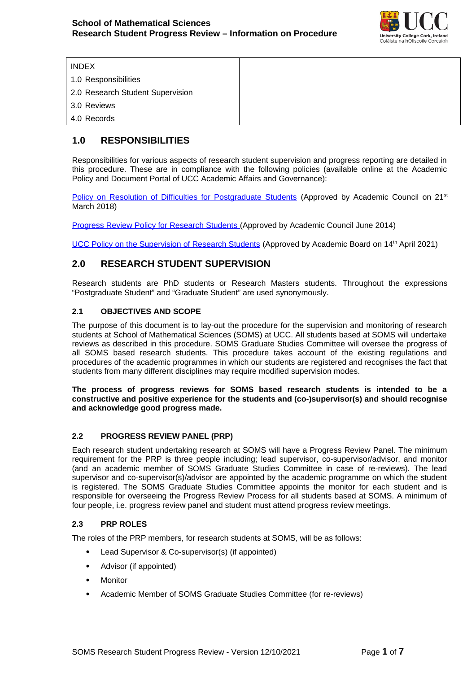

INDEX 1.0 Responsibilities 2.0 Research Student Supervision 3.0 Reviews 4.0 Records

# **1.0 RESPONSIBILITIES**

Responsibilities for various aspects of research student supervision and progress reporting are detailed in this procedure. These are in compliance with the following policies (available online at the Academic Policy and Document Portal of UCC Academic Affairs and Governance):

[Policy on Resolution of Difficulties for Postgraduate Students](https://www.ucc.ie/en/media/support/academicsecretariat/policies/graduatestudiespolicies/PolicyonResolutionofDifficultiesforPostgraduateStudents.pdf) (Approved by Academic Council on 21<sup>st</sup> March 2018)

 [Progress Review Policy for Research Students](https://www.ucc.ie/en/media/support/academicsecretariat/policies/graduatestudiespolicies/ProgressReviewPolicyforResearchStudents.pdf) (Approved by Academic Council June 2014)

[UCC Policy on the Supervision of Research Students](https://www.ucc.ie/en/media/support/academicsecretariat/policies/graduatestudiespolicies/PolicyontheSupervisionofResearchStudents.pdf) (Approved by Academic Board on 14<sup>th</sup> April 2021)

# **2.0 RESEARCH STUDENT SUPERVISION**

Research students are PhD students or Research Masters students. Throughout the expressions "Postgraduate Student" and "Graduate Student" are used synonymously.

# **2.1 OBJECTIVES AND SCOPE**

The purpose of this document is to lay-out the procedure for the supervision and monitoring of research students at School of Mathematical Sciences (SOMS) at UCC. All students based at SOMS will undertake reviews as described in this procedure. SOMS Graduate Studies Committee will oversee the progress of all SOMS based research students. This procedure takes account of the existing regulations and procedures of the academic programmes in which our students are registered and recognises the fact that students from many different disciplines may require modified supervision modes.

**The process of progress reviews for SOMS based research students is intended to be a constructive and positive experience for the students and (co-)supervisor(s) and should recognise and acknowledge good progress made.**

# **2.2 PROGRESS REVIEW PANEL (PRP)**

Each research student undertaking research at SOMS will have a Progress Review Panel. The minimum requirement for the PRP is three people including; lead supervisor, co-supervisor/advisor, and monitor (and an academic member of SOMS Graduate Studies Committee in case of re-reviews). The lead supervisor and co-supervisor(s)/advisor are appointed by the academic programme on which the student is registered. The SOMS Graduate Studies Committee appoints the monitor for each student and is responsible for overseeing the Progress Review Process for all students based at SOMS. A minimum of four people, i.e. progress review panel and student must attend progress review meetings.

# **2.3 PRP ROLES**

The roles of the PRP members, for research students at SOMS, will be as follows:

- Lead Supervisor & Co-supervisor(s) (if appointed)
- Advisor (if appointed)
- Monitor
- Academic Member of SOMS Graduate Studies Committee (for re-reviews)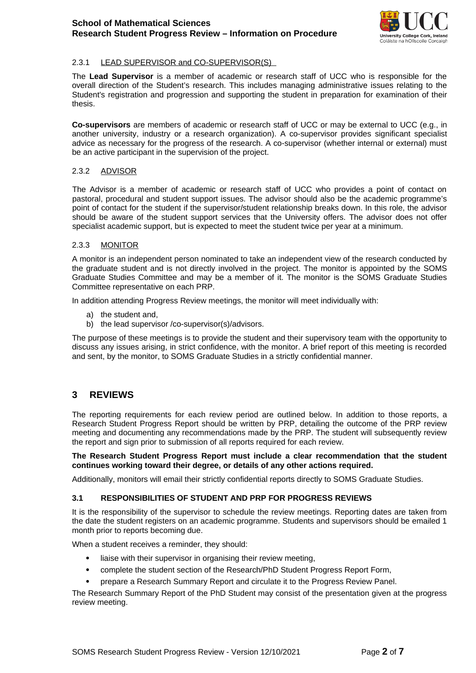

# 2.3.1 LEAD SUPERVISOR and CO-SUPERVISOR(S)

The **Lead Supervisor** is a member of academic or research staff of UCC who is responsible for the overall direction of the Student's research. This includes managing administrative issues relating to the Student's registration and progression and supporting the student in preparation for examination of their thesis. The contract of the contract of the contract of the contract of the contract of the contract of the contract of the contract of the contract of the contract of the contract of the contract of the contract of the co

**Co-supervisors** are members of academic or research staff of UCC or may be external to UCC (e.g., in another university, industry or a research organization). A co-supervisor provides significant specialist advice as necessary for the progress of the research. A co-supervisor (whether internal or external) must be an active participant in the supervision of the project.

### 2.3.2 ADVISOR

The Advisor is a member of academic or research staff of UCC who provides a point of contact on pastoral, procedural and student support issues. The advisor should also be the academic programme's point of contact for the student if the supervisor/student relationship breaks down. In this role, the advisor should be aware of the student support services that the University offers. The advisor does not offer specialist academic support, but is expected to meet the student twice per year at a minimum.

#### 2.3.3 MONITOR

A monitor is an independent person nominated to take an independent view of the research conducted by the graduate student and is not directly involved in the project. The monitor is appointed by the SOMS Graduate Studies Committee and may be a member of it. The monitor is the SOMS Graduate Studies Committee representative on each PRP.

In addition attending Progress Review meetings, the monitor will meet individually with:

- a) the student and,
- b) the lead supervisor /co-supervisor(s)/advisors.

The purpose of these meetings is to provide the student and their supervisory team with the opportunity to discuss any issues arising, in strict confidence, with the monitor. A brief report of this meeting is recorded and sent, by the monitor, to SOMS Graduate Studies in a strictly confidential manner.

# **3 REVIEWS**

The reporting requirements for each review period are outlined below. In addition to those reports, a Research Student Progress Report should be written by PRP, detailing the outcome of the PRP review meeting and documenting any recommendations made by the PRP. The student will subsequently review the report and sign prior to submission of all reports required for each review.

### **The Research Student Progress Report must include a clear recommendation that the student continues working toward their degree, or details of any other actions required.**

Additionally, monitors will email their strictly confidential reports directly to SOMS Graduate Studies.

# **3.1 RESPONSIBILITIES OF STUDENT AND PRP FOR PROGRESS REVIEWS**

It is the responsibility of the supervisor to schedule the review meetings. Reporting dates are taken from the date the student registers on an academic programme. Students and supervisors should be emailed 1 month prior to reports becoming due.

When a student receives a reminder, they should:

- liaise with their supervisor in organising their review meeting,
- complete the student section of the Research/PhD Student Progress Report Form,
- prepare a Research Summary Report and circulate it to the Progress Review Panel.

The Research Summary Report of the PhD Student may consist of the presentation given at the progress review meeting.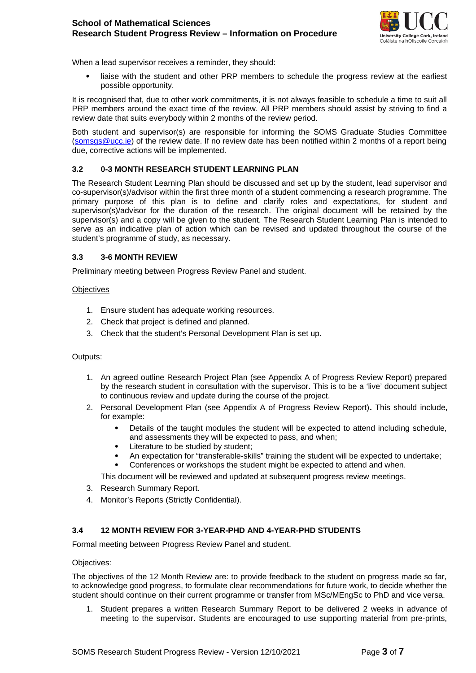

When a lead supervisor receives a reminder, they should:

 liaise with the student and other PRP members to schedule the progress review at the earliest possible opportunity.

It is recognised that, due to other work commitments, it is not always feasible to schedule a time to suit all PRP members around the exact time of the review. All PRP members should assist by striving to find a review date that suits everybody within 2 months of the review period.

Both student and supervisor(s) are responsible for informing the SOMS Graduate Studies Committee (somsgs@ucc.ie) of the review date. If no review date has been notified within 2 months of a report being due, corrective actions will be implemented.

### **3.2 0-3 MONTH RESEARCH STUDENT LEARNING PLAN**

The Research Student Learning Plan should be discussed and set up by the student, lead supervisor and co-supervisor(s)/advisor within the first three month of a student commencing a research programme. The primary purpose of this plan is to define and clarify roles and expectations, for student and supervisor(s)/advisor for the duration of the research. The original document will be retained by the supervisor(s) and a copy will be given to the student. The Research Student Learning Plan is intended to serve as an indicative plan of action which can be revised and updated throughout the course of the student's programme of study, as necessary.

### **3.3 3-6 MONTH REVIEW**

Preliminary meeting between Progress Review Panel and student.

#### **Objectives**

- 1. Ensure student has adequate working resources.
- 2. Check that project is defined and planned.
- 3. Check that the student's Personal Development Plan is set up.

#### Outputs:

- 1. An agreed outline Research Project Plan (see Appendix A of Progress Review Report) prepared by the research student in consultation with the supervisor. This is to be a 'live' document subject to continuous review and update during the course of the project.
- 2. Personal Development Plan (see Appendix A of Progress Review Report)**.** This should include, for example:
	- Details of the taught modules the student will be expected to attend including schedule, and assessments they will be expected to pass, and when;
	- Literature to be studied by student;
	- An expectation for "transferable-skills" training the student will be expected to undertake;
	- Conferences or workshops the student might be expected to attend and when.
	- This document will be reviewed and updated at subsequent progress review meetings.
- 3. Research Summary Report.
- 4. Monitor's Reports (Strictly Confidential).

# **3.4 12 MONTH REVIEW FOR 3-YEAR-PHD AND 4-YEAR-PHD STUDENTS**

Formal meeting between Progress Review Panel and student.

#### Objectives:

The objectives of the 12 Month Review are: to provide feedback to the student on progress made so far, to acknowledge good progress, to formulate clear recommendations for future work, to decide whether the student should continue on their current programme or transfer from MSc/MEngSc to PhD and vice versa.

1. Student prepares a written Research Summary Report to be delivered 2 weeks in advance of meeting to the supervisor. Students are encouraged to use supporting material from pre-prints,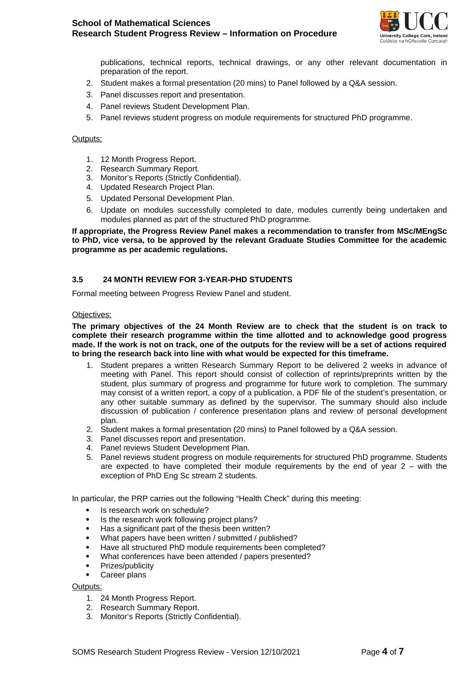

publications, technical reports, technical drawings, or any other relevant documentation in preparation of the report.

- 2. Student makes a formal presentation (20 mins) to Panel followed by a Q&A session.
- 3. Panel discusses report and presentation.
- 4. Panel reviews Student Development Plan.
- 5. Panel reviews student progress on module requirements for structured PhD programme.

### Outputs:

- 1. 12 Month Progress Report.
- 2. Research Summary Report.
- 3. Monitor's Reports (Strictly Confidential).
- 4. Updated Research Project Plan.
- 5. Updated Personal Development Plan.
- 6. Update on modules successfully completed to date, modules currently being undertaken and modules planned as part of the structured PhD programme.

**If appropriate, the Progress Review Panel makes a recommendation to transfer from MSc/MEngSc to PhD, vice versa, to be approved by the relevant Graduate Studies Committee for the academic programme as per academic regulations.**

### **3.5 24 MONTH REVIEW FOR 3-YEAR-PHD STUDENTS**

Formal meeting between Progress Review Panel and student.

#### Objectives:

**The primary objectives of the 24 Month Review are to check that the student is on track to complete their research programme within the time allotted and to acknowledge good progress made. If the work is not on track, one of the outputs for the review will be a set of actions required to bring the research back into line with what would be expected for this timeframe.** 

- 1. Student prepares a written Research Summary Report to be delivered 2 weeks in advance of meeting with Panel. This report should consist of collection of reprints/preprints written by the student, plus summary of progress and programme for future work to completion. The summary may consist of a written report, a copy of a publication, a PDF file of the student's presentation, or any other suitable summary as defined by the supervisor. The summary should also include discussion of publication / conference presentation plans and review of personal development plan.
- 2. Student makes a formal presentation (20 mins) to Panel followed by a Q&A session.
- 3. Panel discusses report and presentation.
- 4. Panel reviews Student Development Plan.
- 5. Panel reviews student progress on module requirements for structured PhD programme. Students are expected to have completed their module requirements by the end of year  $2 -$  with the exception of PhD Eng Sc stream 2 students.

In particular, the PRP carries out the following "Health Check" during this meeting:

- Is research work on schedule?
- Is the research work following project plans?
- Has a significant part of the thesis been written?
- What papers have been written / submitted / published?
- Have all structured PhD module requirements been completed?
- What conferences have been attended / papers presented?
- Prizes/publicity
- Career plans

#### Outputs:

- 1. 24 Month Progress Report.
- 2. Research Summary Report.
- 3. Monitor's Reports (Strictly Confidential).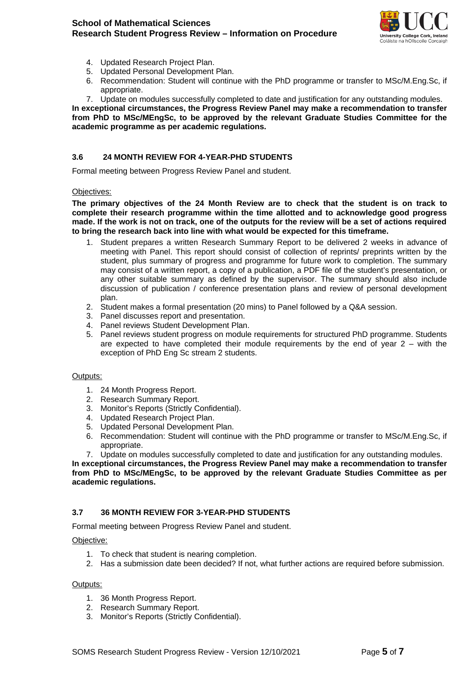

- 4. Updated Research Project Plan.
- 5. Updated Personal Development Plan.
- 6. Recommendation: Student will continue with the PhD programme or transfer to MSc/M.Eng.Sc, if appropriate.
- 7. Update on modules successfully completed to date and justification for any outstanding modules.

**In exceptional circumstances, the Progress Review Panel may make a recommendation to transfer from PhD to MSc/MEngSc, to be approved by the relevant Graduate Studies Committee for the academic programme as per academic regulations.**

## **3.6 24 MONTH REVIEW FOR 4-YEAR-PHD STUDENTS**

Formal meeting between Progress Review Panel and student.

#### Objectives:

**The primary objectives of the 24 Month Review are to check that the student is on track to complete their research programme within the time allotted and to acknowledge good progress made. If the work is not on track, one of the outputs for the review will be a set of actions required to bring the research back into line with what would be expected for this timeframe.** 

- 1. Student prepares a written Research Summary Report to be delivered 2 weeks in advance of meeting with Panel. This report should consist of collection of reprints/ preprints written by the student, plus summary of progress and programme for future work to completion. The summary may consist of a written report, a copy of a publication, a PDF file of the student's presentation, or any other suitable summary as defined by the supervisor. The summary should also include discussion of publication / conference presentation plans and review of personal development plan.
- 2. Student makes a formal presentation (20 mins) to Panel followed by a Q&A session.
- 3. Panel discusses report and presentation.
- 4. Panel reviews Student Development Plan.
- 5. Panel reviews student progress on module requirements for structured PhD programme. Students are expected to have completed their module requirements by the end of year  $2 -$  with the exception of PhD Eng Sc stream 2 students.

#### Outputs:

- 1. 24 Month Progress Report.
- 2. Research Summary Report.
- 3. Monitor's Reports (Strictly Confidential).
- 4. Updated Research Project Plan.
- 5. Updated Personal Development Plan.
- 6. Recommendation: Student will continue with the PhD programme or transfer to MSc/M.Eng.Sc, if appropriate.

7. Update on modules successfully completed to date and justification for any outstanding modules.

**In exceptional circumstances, the Progress Review Panel may make a recommendation to transfer from PhD to MSc/MEngSc, to be approved by the relevant Graduate Studies Committee as per academic regulations.**

# **3.7 36 MONTH REVIEW FOR 3-YEAR-PHD STUDENTS**

Formal meeting between Progress Review Panel and student.

#### Objective:

- 1. To check that student is nearing completion.
- 2. Has a submission date been decided? If not, what further actions are required before submission.

#### Outputs:

- 1. 36 Month Progress Report.
- 2. Research Summary Report.
- 3. Monitor's Reports (Strictly Confidential).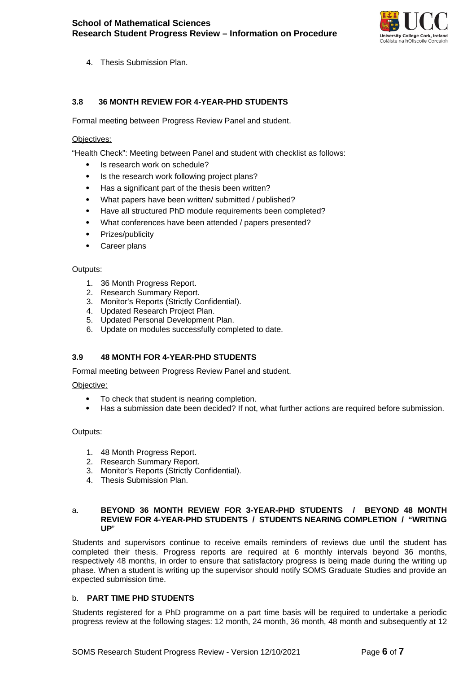

4. Thesis Submission Plan.

# **3.8 36 MONTH REVIEW FOR 4-YEAR-PHD STUDENTS**

Formal meeting between Progress Review Panel and student.

#### Objectives:

"Health Check": Meeting between Panel and student with checklist as follows:

- Is research work on schedule?
- Is the research work following project plans?
- Has a significant part of the thesis been written?
- What papers have been written/ submitted / published?
- Have all structured PhD module requirements been completed?
- What conferences have been attended / papers presented?
- Prizes/publicity
- Career plans

#### Outputs:

- 1. 36 Month Progress Report.
- 2. Research Summary Report.
- 3. Monitor's Reports (Strictly Confidential).
- 4. Updated Research Project Plan.
- 5. Updated Personal Development Plan.
- 6. Update on modules successfully completed to date.

#### **3.9 48 MONTH FOR 4-YEAR-PHD STUDENTS**

Formal meeting between Progress Review Panel and student.

#### Objective:

- To check that student is nearing completion.
- Has a submission date been decided? If not, what further actions are required before submission.

#### Outputs:

- 1. 48 Month Progress Report.
- 2. Research Summary Report.
- 3. Monitor's Reports (Strictly Confidential).
- 4. Thesis Submission Plan.

#### a. **BEYOND 36 MONTH REVIEW FOR 3-YEAR-PHD STUDENTS / BEYOND 48 MONTH REVIEW FOR 4-YEAR-PHD STUDENTS / STUDENTS NEARING COMPLETION / "WRITING UP**"

Students and supervisors continue to receive emails reminders of reviews due until the student has completed their thesis. Progress reports are required at 6 monthly intervals beyond 36 months, respectively 48 months, in order to ensure that satisfactory progress is being made during the writing up phase. When a student is writing up the supervisor should notify SOMS Graduate Studies and provide an expected submission time.

#### b. **PART TIME PHD STUDENTS**

Students registered for a PhD programme on a part time basis will be required to undertake a periodic progress review at the following stages: 12 month, 24 month, 36 month, 48 month and subsequently at 12